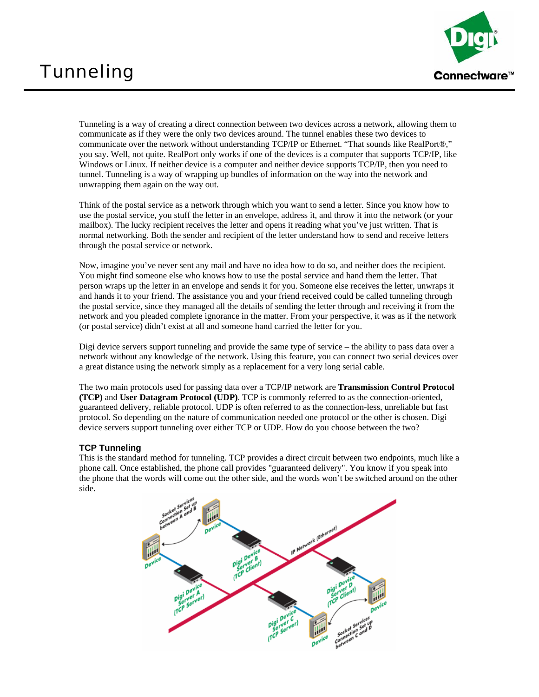## **Tunneling**



Tunneling is a way of creating a direct connection between two devices across a network, allowing them to communicate as if they were the only two devices around. The tunnel enables these two devices to communicate over the network without understanding TCP/IP or Ethernet. "That sounds like RealPort®," you say. Well, not quite. RealPort only works if one of the devices is a computer that supports TCP/IP, like Windows or Linux. If neither device is a computer and neither device supports TCP/IP, then you need to tunnel. Tunneling is a way of wrapping up bundles of information on the way into the network and unwrapping them again on the way out.

Think of the postal service as a network through which you want to send a letter. Since you know how to use the postal service, you stuff the letter in an envelope, address it, and throw it into the network (or your mailbox). The lucky recipient receives the letter and opens it reading what you've just written. That is normal networking. Both the sender and recipient of the letter understand how to send and receive letters through the postal service or network.

Now, imagine you've never sent any mail and have no idea how to do so, and neither does the recipient. You might find someone else who knows how to use the postal service and hand them the letter. That person wraps up the letter in an envelope and sends it for you. Someone else receives the letter, unwraps it and hands it to your friend. The assistance you and your friend received could be called tunneling through the postal service, since they managed all the details of sending the letter through and receiving it from the network and you pleaded complete ignorance in the matter. From your perspective, it was as if the network (or postal service) didn't exist at all and someone hand carried the letter for you.

Digi device servers support tunneling and provide the same type of service – the ability to pass data over a network without any knowledge of the network. Using this feature, you can connect two serial devices over a great distance using the network simply as a replacement for a very long serial cable.

The two main protocols used for passing data over a TCP/IP network are **Transmission Control Protocol (TCP)** and **User Datagram Protocol (UDP)**. TCP is commonly referred to as the connection-oriented, guaranteed delivery, reliable protocol. UDP is often referred to as the connection-less, unreliable but fast protocol. So depending on the nature of communication needed one protocol or the other is chosen. Digi device servers support tunneling over either TCP or UDP. How do you choose between the two?

## **TCP Tunneling**

This is the standard method for tunneling. TCP provides a direct circuit between two endpoints, much like a phone call. Once established, the phone call provides "guaranteed delivery". You know if you speak into the phone that the words will come out the other side, and the words won't be switched around on the other side.